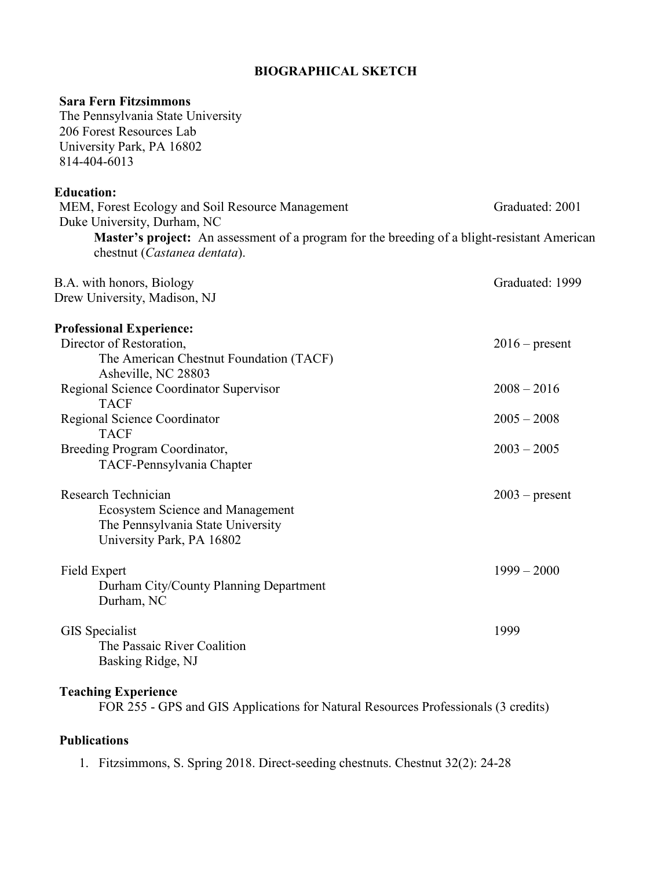## **BIOGRAPHICAL SKETCH**

| <b>Sara Fern Fitzsimmons</b><br>The Pennsylvania State University<br>206 Forest Resources Lab<br>University Park, PA 16802<br>814-404-6013 |                  |
|--------------------------------------------------------------------------------------------------------------------------------------------|------------------|
| <b>Education:</b>                                                                                                                          |                  |
| MEM, Forest Ecology and Soil Resource Management<br>Duke University, Durham, NC                                                            | Graduated: 2001  |
| <b>Master's project:</b> An assessment of a program for the breeding of a blight-resistant American<br>chestnut (Castanea dentata).        |                  |
| B.A. with honors, Biology<br>Drew University, Madison, NJ                                                                                  | Graduated: 1999  |
| <b>Professional Experience:</b>                                                                                                            |                  |
| Director of Restoration,<br>The American Chestnut Foundation (TACF)<br>Asheville, NC 28803                                                 | $2016$ – present |
| Regional Science Coordinator Supervisor<br><b>TACF</b>                                                                                     | $2008 - 2016$    |
| Regional Science Coordinator                                                                                                               | $2005 - 2008$    |
| <b>TACF</b><br>Breeding Program Coordinator,<br>TACF-Pennsylvania Chapter                                                                  | $2003 - 2005$    |
| Research Technician<br><b>Ecosystem Science and Management</b><br>The Pennsylvania State University<br>University Park, PA 16802           | $2003$ – present |
| Field Expert<br>Durham City/County Planning Department<br>Durham, NC                                                                       | $1999 - 2000$    |
| GIS Specialist<br>The Passaic River Coalition<br>Basking Ridge, NJ                                                                         | 1999             |
| <b>Teaching Experience</b>                                                                                                                 |                  |

FOR 255 - GPS and GIS Applications for Natural Resources Professionals (3 credits)

## **Publications**

1. Fitzsimmons, S. Spring 2018. Direct-seeding chestnuts. Chestnut 32(2): 24-28